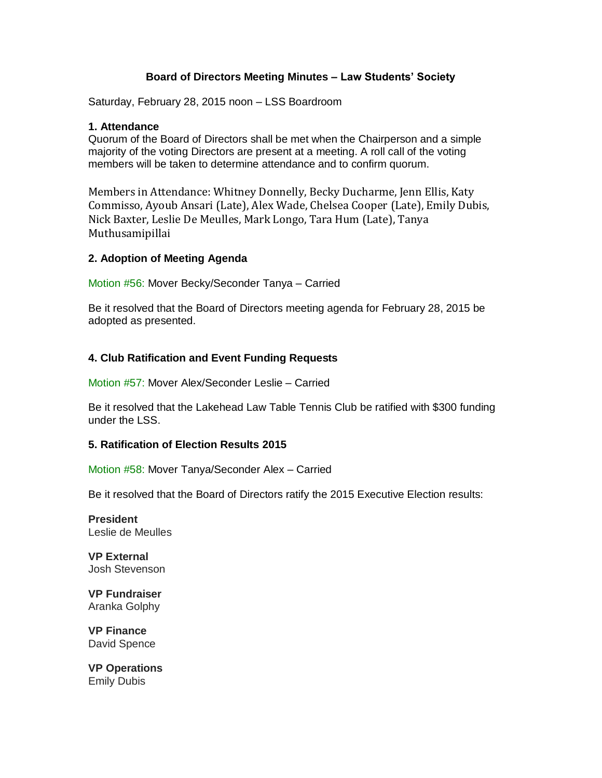## **Board of Directors Meeting Minutes – Law Students' Society**

Saturday, February 28, 2015 noon – LSS Boardroom

#### **1. Attendance**

Quorum of the Board of Directors shall be met when the Chairperson and a simple majority of the voting Directors are present at a meeting. A roll call of the voting members will be taken to determine attendance and to confirm quorum.

Members in Attendance: Whitney Donnelly, Becky Ducharme, Jenn Ellis, Katy Commisso, Ayoub Ansari (Late), Alex Wade, Chelsea Cooper (Late), Emily Dubis, Nick Baxter, Leslie De Meulles, Mark Longo, Tara Hum (Late), Tanya Muthusamipillai

#### **2. Adoption of Meeting Agenda**

Motion #56: Mover Becky/Seconder Tanya – Carried

Be it resolved that the Board of Directors meeting agenda for February 28, 2015 be adopted as presented.

#### **4. Club Ratification and Event Funding Requests**

Motion #57: Mover Alex/Seconder Leslie – Carried

Be it resolved that the Lakehead Law Table Tennis Club be ratified with \$300 funding under the LSS.

#### **5. Ratification of Election Results 2015**

Motion #58: Mover Tanya/Seconder Alex – Carried

Be it resolved that the Board of Directors ratify the 2015 Executive Election results:

**President** Leslie de Meulles

**VP External** Josh Stevenson

**VP Fundraiser** Aranka Golphy

**VP Finance** David Spence

**VP Operations** Emily Dubis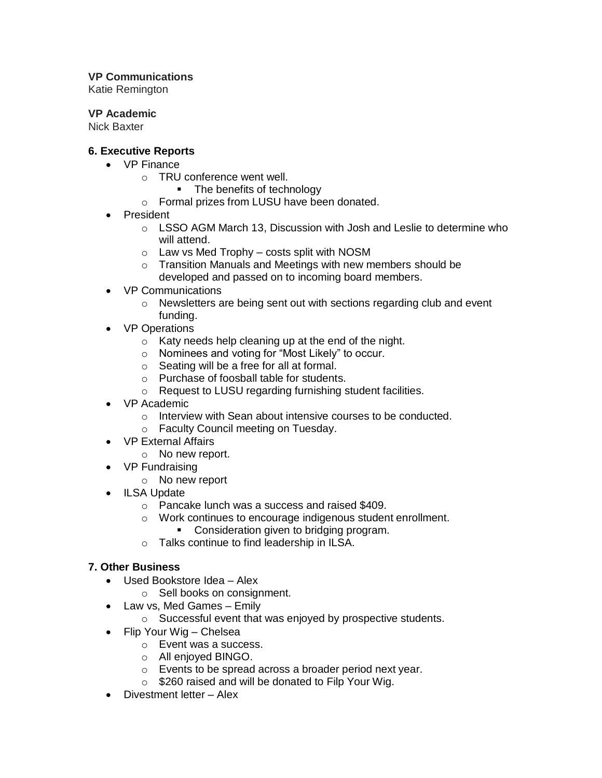## **VP Communications**

Katie Remington

## **VP Academic**

Nick Baxter

## **6. Executive Reports**

- VP Finance
	- o TRU conference went well.
		- The benefits of technology
	- o Formal prizes from LUSU have been donated.
- President
	- o LSSO AGM March 13, Discussion with Josh and Leslie to determine who will attend.
	- $\circ$  Law vs Med Trophy costs split with NOSM
	- $\circ$  Transition Manuals and Meetings with new members should be developed and passed on to incoming board members.
- VP Communications
	- o Newsletters are being sent out with sections regarding club and event funding.
- VP Operations
	- $\circ$  Katy needs help cleaning up at the end of the night.
	- o Nominees and voting for "Most Likely" to occur.
	- o Seating will be a free for all at formal.
	- o Purchase of foosball table for students.
	- o Request to LUSU regarding furnishing student facilities.
- VP Academic
	- o Interview with Sean about intensive courses to be conducted.
	- o Faculty Council meeting on Tuesday.
- VP External Affairs
	- o No new report.
- VP Fundraising
	- o No new report
- ILSA Update
	- o Pancake lunch was a success and raised \$409.
	- o Work continues to encourage indigenous student enrollment.
		- Consideration given to bridging program.
	- o Talks continue to find leadership in ILSA.

# **7. Other Business**

- Used Bookstore Idea Alex
	- o Sell books on consignment.
- Law vs, Med Games Emily
	- o Successful event that was enjoyed by prospective students.
- Flip Your Wig Chelsea
	- o Event was a success.
	- o All enjoyed BINGO.
	- o Events to be spread across a broader period next year.
	- o \$260 raised and will be donated to Filp Your Wig.
- Divestment letter Alex